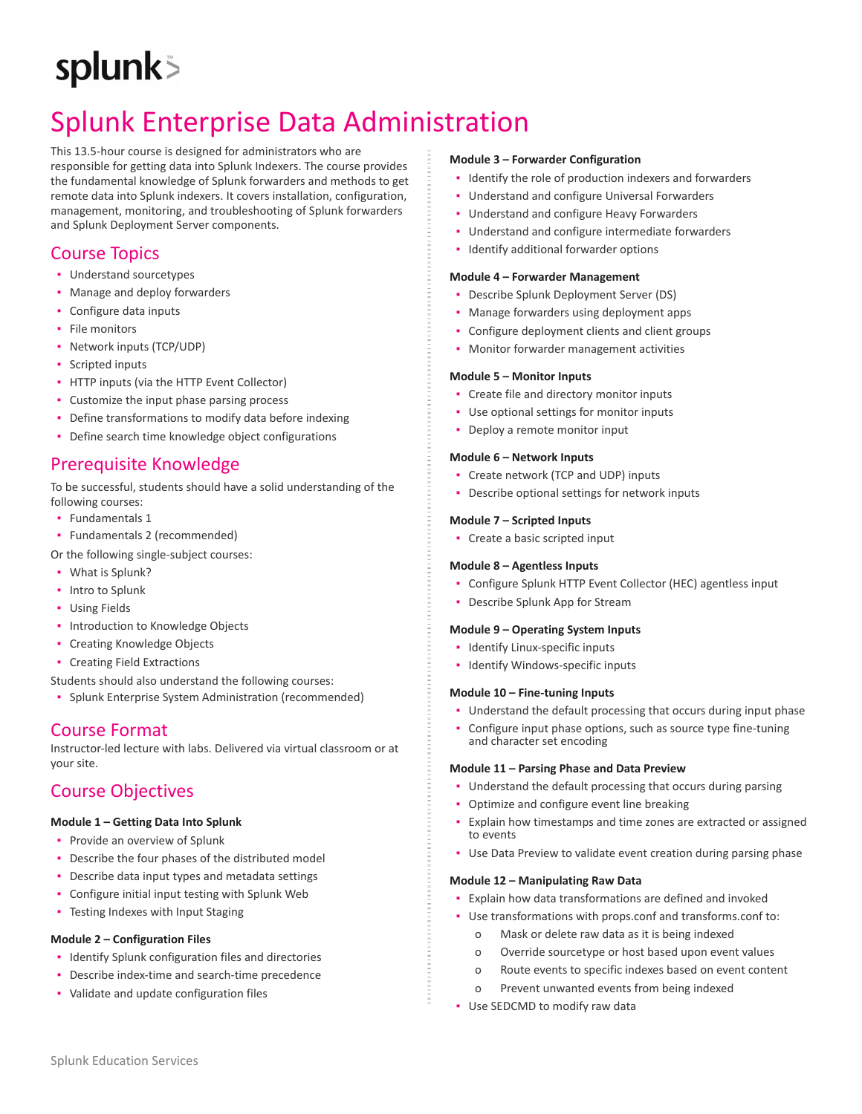# splunk>

# Splunk Enterprise Data Administration

This 13.5-hour course is designed for administrators who are responsible for getting data into Splunk Indexers. The course provides the fundamental knowledge of Splunk forwarders and methods to get remote data into Splunk indexers. It covers installation, configuration, management, monitoring, and troubleshooting of Splunk forwarders and Splunk Deployment Server components.

# Course Topics

- Understand sourcetypes
- **Manage and deploy forwarders**
- Configure data inputs
- **·** File monitors
- Network inputs (TCP/UDP)
- Scripted inputs
- HTTP inputs (via the HTTP Event Collector)
- Customize the input phase parsing process
- Define transformations to modify data before indexing
- **Define search time knowledge object configurations**

## Prerequisite Knowledge

To be successful, students should have a solid understanding of the following courses:

- Fundamentals 1
- Fundamentals 2 (recommended)
- Or the following single-subject courses:
- What is Splunk?
- **•** Intro to Splunk
- Using Fields
- **· Introduction to Knowledge Objects**
- **Creating Knowledge Objects**
- Creating Field Extractions

Students should also understand the following courses:

▪ Splunk Enterprise System Administration (recommended)

# Course Format

Instructor-led lecture with labs. Delivered via virtual classroom or at your site.

# Course Objectives

#### **Module 1 – Getting Data Into Splunk**

- **•** Provide an overview of Splunk
- **Describe the four phases of the distributed model**
- Describe data input types and metadata settings
- Configure initial input testing with Splunk Web
- **Testing Indexes with Input Staging**

#### **Module 2 – Configuration Files**

- **·** Identify Splunk configuration files and directories
- Describe index-time and search-time precedence
- Validate and update configuration files

#### **Module 3 – Forwarder Configuration**

- Identify the role of production indexers and forwarders
- Understand and configure Universal Forwarders
- **Understand and configure Heavy Forwarders**
- Understand and configure intermediate forwarders
- **·** Identify additional forwarder options

#### **Module 4 – Forwarder Management**

- Describe Splunk Deployment Server (DS)
- Manage forwarders using deployment apps
- Configure deployment clients and client groups
- **Monitor forwarder management activities**

#### **Module 5 – Monitor Inputs**

- Create file and directory monitor inputs
- Use optional settings for monitor inputs
- Deploy a remote monitor input

#### **Module 6 – Network Inputs**

- Create network (TCP and UDP) inputs
- Describe optional settings for network inputs

#### **Module 7 – Scripted Inputs**

• Create a basic scripted input

#### **Module 8 – Agentless Inputs**

- Configure Splunk HTTP Event Collector (HEC) agentless input
- **Describe Splunk App for Stream**

#### **Module 9 – Operating System Inputs**

- Identify Linux-specific inputs
- Identify Windows-specific inputs

#### **Module 10 – Fine-tuning Inputs**

- Understand the default processing that occurs during input phase
- Configure input phase options, such as source type fine-tuning and character set encoding

#### **Module 11 – Parsing Phase and Data Preview**

- **Understand the default processing that occurs during parsing**
- Optimize and configure event line breaking
- Explain how timestamps and time zones are extracted or assigned to events
- **Use Data Preview to validate event creation during parsing phase**

#### **Module 12 – Manipulating Raw Data**

- Explain how data transformations are defined and invoked
- Use transformations with props.conf and transforms.conf to:
	- o Mask or delete raw data as it is being indexed
	- o Override sourcetype or host based upon event values
	- o Route events to specific indexes based on event content
	- o Prevent unwanted events from being indexed
- Use SEDCMD to modify raw data